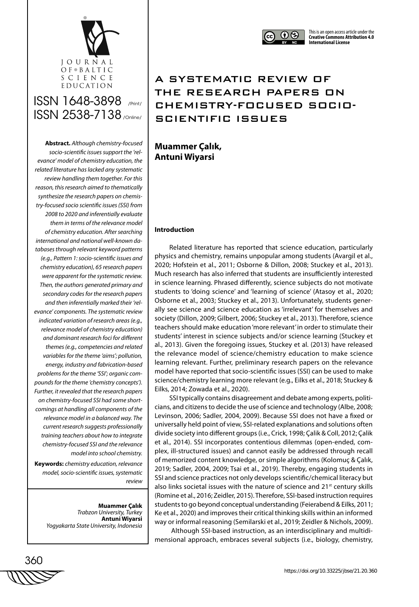

**Abstract.** *Although chemistry-focused socio-scientific issues support the 'relevance' model of chemistry education, the related literature has lacked any systematic review handling them together. For this reason, this research aimed to thematically synthesize the research papers on chemistry-focused socio scientific issues (SSI) from 2008 to 2020 and inferentially evaluate them in terms of the relevance model of chemistry education. After searching international and national well-known databases through relevant keyword patterns (e.g., Pattern 1: socio-scientific issues and chemistry education), 65 research papers were apparent for the systematic review. Then, the authors generated primary and secondary codes for the research papers and then inferentially marked their 'relevance' components. The systematic review indicated variation of research areas (e.g., relevance model of chemistry education) and dominant research foci for different themes (e.g., competencies and related variables for the theme 'aims'; pollution, energy, industry and fabrication-based problems for the theme 'SSI'; organic compounds for the theme 'chemistry concepts'). Further, it revealed that the research papers on chemistry-focused SSI had some shortcomings at handling all components of the relevance model in a balanced way. The current research suggests professionally training teachers about how to integrate chemistry-focused SSI and the relevance model into school chemistry.*

**Keywords:** *chemistry education, relevance model, socio-scientific issues, systematic review* 

> **Muammer Çalık** *Trabzon University, Turkey* **Antuni Wiyarsi** *Yogyakarta State University, Indonesia*



## A SYSTEMATIC REVIEW OF THE RESEARCH PAPERS ON CHEMISTRY-FOCUSED SOCIO-SCIENTIFIC ISSUES

**Muammer Çalık, Antuni Wiyarsi**

## **Introduction**

Related literature has reported that science education, particularly physics and chemistry, remains unpopular among students (Avargil et al., 2020; Hofstein et al., 2011; Osborne & Dillon, 2008; Stuckey et al., 2013). Much research has also inferred that students are insufficiently interested in science learning. Phrased differently, science subjects do not motivate students to 'doing science' and 'learning of science' (Atasoy et al., 2020; Osborne et al., 2003; Stuckey et al., 2013). Unfortunately, students generally see science and science education as 'irrelevant' for themselves and society (Dillon, 2009; Gilbert, 2006; Stuckey et al., 2013). Therefore, science teachers should make education 'more relevant' in order to stimulate their students' interest in science subjects and/or science learning (Stuckey et al., 2013). Given the foregoing issues, Stuckey et al. (2013) have released the relevance model of science/chemistry education to make science learning relevant. Further, preliminary research papers on the relevance model have reported that socio-scientific issues (SSI) can be used to make science/chemistry learning more relevant (e.g., Eilks et al., 2018; Stuckey & Eilks, 2014; Zowada et al., 2020).

SSI typically contains disagreement and debate among experts, politicians, and citizens to decide the use of science and technology (Albe, 2008; Levinson, 2006; Sadler, 2004, 2009). Because SSI does not have a fixed or universally held point of view, SSI-related explanations and solutions often divide society into different groups (i.e., Crick, 1998; Çalik & Coll, 2012; Çalik et al., 2014). SSI incorporates contentious dilemmas (open-ended, complex, ill-structured issues) and cannot easily be addressed through recall of memorized content knowledge, or simple algorithms (Kolomuç & Çalık, 2019; Sadler, 2004, 2009; Tsai et al., 2019). Thereby, engaging students in SSI and science practices not only develops scientific/chemical literacy but also links societal issues with the nature of science and 21<sup>st</sup> century skills (Romine et al., 2016; Zeidler, 2015). Therefore, SSI-based instruction requires students to go beyond conceptual understanding (Feierabend & Eilks, 2011; Ke et al., 2020) and improves their critical thinking skills within an informed way or informal reasoning (Semilarski et al., 2019; Zeidler & Nichols, 2009).

 Although SSI-based instruction, as an interdisciplinary and multidimensional approach, embraces several subjects (i.e., biology, chemistry,

$$
\begin{matrix}\n 360 \\
\hline\n \text{WW} \times \text{WW} \times \text{WW} \times \text{WW} \times \text{WW} \times \text{WW} \times \text{WW} \times \text{WW} \times \text{WW} \times \text{WW} \times \text{WW} \times \text{WW} \times \text{WW} \times \text{WW} \times \text{WW} \times \text{WW} \times \text{WW} \times \text{WW} \times \text{WW} \times \text{WW} \times \text{WW} \times \text{WW} \times \text{WW} \times \text{WW} \times \text{WW} \times \text{WW} \times \text{WW} \times \text{WW} \times \text{WW} \times \text{WW} \times \text{WW} \times \text{WW} \times \text{WW} \times \text{WW} \times \text{WW} \times \text{WW} \times \text{WW} \times \text{WW} \times \text{WW} \times \text{WW} \times \text{WW} \times \text{WW} \times \text{WW} \times \text{WW} \times \text{WW} \times \text{WW} \times \text{WW} \times \text{WW} \times \text{WW} \times \text{WW} \times \text{WW} \times \text{WW} \times \text{WW} \times \text{WW} \times \text{WW} \times \text{WW} \times \text{WW} \times \text{WW} \times \text{WW} \times \text{WW} \times \text{WW} \times \text{WW} \times \text{WW} \times \text{WW} \times \text{WW} \times \text{WW} \times \text{WW} \times \text{WW} \times \text{WW} \times \text{WW} \times \text{WW} \times \text{WW} \times \text{WW} \times \text{WW} \times \text{WW} \times \text{WW} \times \text{WW} \times \text{WW} \times \text{WW} \times \text{WW} \times \text{WW} \times \text{WW} \times \text{WW} \times \text{WW} \times \text{WW} \times \text{WW} \times \text{WW} \times \text{WW} \times \text{WW} \times \text{WW} \times \text{WW} \times \text{WW} \times \text{WW} \times \text{WW} \times \text{WW} \times \text{WW} \times \text{WW} \times \text{WW} \times \text{WW} \times \text{WW} \times \text{WW} \times \text{WW} \times \text{WW} \times \text{WW} \times \text{WW} \times \text{WW} \times \text{
$$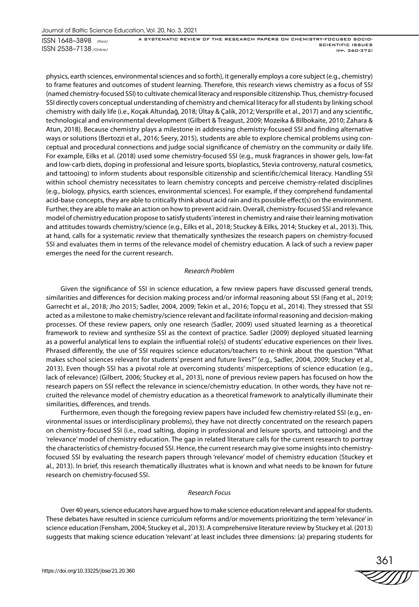A SYSTEMATIC REVIEW OF THE RESEARCH PAPERS ON CHEMISTRY-FOCUSED SOCIO-SCIENTIFIC ISSUES (pp. 360-372)

physics, earth sciences, environmental sciences and so forth), it generally employs a core subject (e.g., chemistry) to frame features and outcomes of student learning. Therefore, this research views chemistry as a focus of SSI (named chemistry-focused SSI) to cultivate chemical literacy and responsible citizenship. Thus, chemistry-focused SSI directly covers conceptual understanding of chemistry and chemical literacy for all students by linking school chemistry with daily life (i.e., Koçak Altundağ, 2018; Ültay & Çalik, 2012; Versprille et al., 2017) and any scientific, technological and environmental development (Gilbert & Treagust, 2009; Mozeika & Bilbokaite, 2010; Zahara & Atun, 2018). Because chemistry plays a milestone in addressing chemistry-focused SSI and finding alternative ways or solutions (Bertozzi et al., 2016; Seery, 2015), students are able to explore chemical problems using conceptual and procedural connections and judge social significance of chemistry on the community or daily life. For example, Eilks et al. (2018) used some chemistry-focused SSI (e.g., musk fragrances in shower gels, low-fat and low-carb diets, doping in professional and leisure sports, bioplastics, Stevia controversy, natural cosmetics, and tattooing) to inform students about responsible citizenship and scientific/chemical literacy. Handling SSI within school chemistry necessitates to learn chemistry concepts and perceive chemistry-related disciplines (e.g., biology, physics, earth sciences, environmental sciences). For example, if they comprehend fundamental acid-base concepts, they are able to critically think about acid rain and its possible effect(s) on the environment. Further, they are able to make an action on how to prevent acid rain. Overall, chemistry-focused SSI and relevance model of chemistry education propose to satisfy students' interest in chemistry and raise their learning motivation and attitudes towards chemistry/science (e.g., Eilks et al., 2018; Stuckey & Eilks, 2014; Stuckey et al., 2013). This, at hand, calls for a systematic review that thematically synthesizes the research papers on chemistry-focused SSI and evaluates them in terms of the relevance model of chemistry education. A lack of such a review paper emerges the need for the current research.

#### *Research Problem*

Given the significance of SSI in science education, a few review papers have discussed general trends, similarities and differences for decision making process and/or informal reasoning about SSI (Fang et al., 2019; Garrecht et al., 2018; Jho 2015; Sadler, 2004, 2009; Tekin et al., 2016; Topçu et al., 2014). They stressed that SSI acted as a milestone to make chemistry/science relevant and facilitate informal reasoning and decision-making processes. Of these review papers, only one research (Sadler, 2009) used situated learning as a theoretical framework to review and synthesize SSI as the context of practice. Sadler (2009) deployed situated learning as a powerful analytical lens to explain the influential role(s) of students' educative experiences on their lives. Phrased differently, the use of SSI requires science educators/teachers to re-think about the question "What makes school sciences relevant for students' present and future lives?" (e.g., Sadler, 2004, 2009; Stuckey et al., 2013). Even though SSI has a pivotal role at overcoming students' misperceptions of science education (e.g., lack of relevance) (Gilbert, 2006; Stuckey et al., 2013), none of previous review papers has focused on how the research papers on SSI reflect the relevance in science/chemistry education. In other words, they have not recruited the relevance model of chemistry education as a theoretical framework to analytically illuminate their similarities, differences, and trends.

Furthermore, even though the foregoing review papers have included few chemistry-related SSI (e.g., environmental issues or interdisciplinary problems), they have not directly concentrated on the research papers on chemistry-focused SSI (i.e., road salting, doping in professional and leisure sports, and tattooing) and the 'relevance' model of chemistry education. The gap in related literature calls for the current research to portray the characteristics of chemistry-focused SSI. Hence, the current research may give some insights into chemistryfocused SSI by evaluating the research papers through 'relevance' model of chemistry education (Stuckey et al., 2013). In brief, this research thematically illustrates what is known and what needs to be known for future research on chemistry-focused SSI.

#### *Research Focus*

Over 40 years, science educators have argued how to make science education relevant and appeal for students. These debates have resulted in science curriculum reforms and/or movements prioritizing the term 'relevance' in science education (Fensham, 2004; Stuckey et al., 2013). A comprehensive literature review by Stuckey et al. (2013) suggests that making science education 'relevant' at least includes three dimensions: (a) preparing students for

361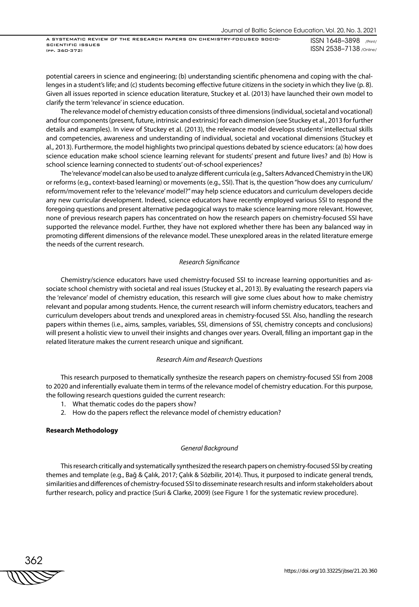A SYSTEMATIC REVIEW OF THE RESEARCH PAPERS ON CHEMISTRY-FOCUSED SOCIO-SCIENTIFIC ISSUES (pp. 360-372)

ISSN 1648–3898 /Print/ ISSN 2538–7138 /Online/

potential careers in science and engineering; (b) understanding scientific phenomena and coping with the challenges in a student's life; and (c) students becoming effective future citizens in the society in which they live (p. 8). Given all issues reported in science education literature, Stuckey et al. (2013) have launched their own model to clarify the term 'relevance' in science education.

The relevance model of chemistry education consists of three dimensions (individual, societal and vocational) and four components (present, future, intrinsic and extrinsic) for each dimension (see Stuckey et al., 2013 for further details and examples). In view of Stuckey et al. (2013), the relevance model develops students' intellectual skills and competencies, awareness and understanding of individual, societal and vocational dimensions (Stuckey et al., 2013). Furthermore, the model highlights two principal questions debated by science educators: (a) how does science education make school science learning relevant for students' present and future lives? and (b) How is school science learning connected to students' out-of-school experiences?

The 'relevance' model can also be used to analyze different curricula (e.g., Salters Advanced Chemistry in the UK) or reforms (e.g., context-based learning) or movements (e.g., SSI). That is, the question "how does any curriculum/ reform/movement refer to the 'relevance' model?" may help science educators and curriculum developers decide any new curricular development. Indeed, science educators have recently employed various SSI to respond the foregoing questions and present alternative pedagogical ways to make science learning more relevant. However, none of previous research papers has concentrated on how the research papers on chemistry-focused SSI have supported the relevance model. Further, they have not explored whether there has been any balanced way in promoting different dimensions of the relevance model. These unexplored areas in the related literature emerge the needs of the current research.

### *Research Significance*

Chemistry/science educators have used chemistry-focused SSI to increase learning opportunities and associate school chemistry with societal and real issues (Stuckey et al., 2013). By evaluating the research papers via the 'relevance' model of chemistry education, this research will give some clues about how to make chemistry relevant and popular among students. Hence, the current research will inform chemistry educators, teachers and curriculum developers about trends and unexplored areas in chemistry-focused SSI. Also, handling the research papers within themes (i.e., aims, samples, variables, SSI, dimensions of SSI, chemistry concepts and conclusions) will present a holistic view to unveil their insights and changes over years. Overall, filling an important gap in the related literature makes the current research unique and significant.

#### *Research Aim and Research Questions*

This research purposed to thematically synthesize the research papers on chemistry-focused SSI from 2008 to 2020 and inferentially evaluate them in terms of the relevance model of chemistry education. For this purpose, the following research questions guided the current research:

- 1. What thematic codes do the papers show?
- 2. How do the papers reflect the relevance model of chemistry education?

#### **Research Methodology**

#### *General Background*

This research critically and systematically synthesized the research papers on chemistry-focused SSI by creating themes and template (e.g., Bağ & Çalık, 2017; Çalık & Sözbilir, 2014). Thus, it purposed to indicate general trends, similarities and differences of chemistry-focused SSI to disseminate research results and inform stakeholders about further research, policy and practice (Suri & Clarke, 2009) (see Figure 1 for the systematic review procedure).

362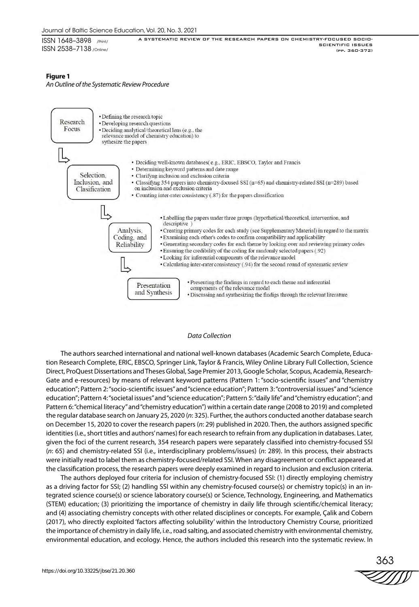ISSN 1648–3898 /Print/ ISSN 2538–7138 /Online/ A SYSTEMATIC REVIEW OF THE RESEARCH PAPERS ON CHEMISTRY-FOCUSED SOCIO-

## **Figure 1**

*An Outline of the Systematic Review Procedure*



## *Data Collection*

The authors searched international and national well-known databases (Academic Search Complete, Education Research Complete, ERIC, EBSCO, Springer Link, Taylor & Francis, Wiley Online Library Full Collection, Science Direct, ProQuest Dissertations and Theses Global, Sage Premier 2013, Google Scholar, Scopus, Academia, Research-Gate and e-resources) by means of relevant keyword patterns (Pattern 1: "socio-scientific issues" and "chemistry education"; Pattern 2: "socio-scientific issues" and "science education"; Pattern 3: "controversial issues" and "science education"; Pattern 4: "societal issues" and "science education"; Pattern 5: "daily life" and "chemistry education"; and Pattern 6: "chemical literacy" and "chemistry education") within a certain date range (2008 to 2019) and completed the regular database search on January 25, 2020 (*n*: 325). Further, the authors conducted another database search on December 15, 2020 to cover the research papers (*n*: 29) published in 2020. Then, the authors assigned specific identities (i.e., short titles and authors' names) for each research to refrain from any duplication in databases. Later, given the foci of the current research, 354 research papers were separately classified into chemistry-focused SSI (*n*: 65) and chemistry-related SSI (i.e., interdisciplinary problems/issues) (*n*: 289). In this process, their abstracts were initially read to label them as chemistry-focused/related SSI. When any disagreement or conflict appeared at the classification process, the research papers were deeply examined in regard to inclusion and exclusion criteria.

The authors deployed four criteria for inclusion of chemistry-focused SSI: (1) directly employing chemistry as a driving factor for SSI; (2) handling SSI within any chemistry-focused course(s) or chemistry topic(s) in an integrated science course(s) or science laboratory course(s) or Science, Technology, Engineering, and Mathematics (STEM) education; (3) prioritizing the importance of chemistry in daily life through scientific/chemical literacy; and (4) associating chemistry concepts with other related disciplines or concepts. For example, Çalik and Cobern (2017), who directly exploited 'factors affecting solubility' within the Introductory Chemistry Course, prioritized the importance of chemistry in daily life, i.e., road salting, and associated chemistry with environmental chemistry, environmental education, and ecology. Hence, the authors included this research into the systematic review. In

$$
\overset{363}{\text{2711}}
$$

SCIENTIFIC ISSUES (pp. 360-372)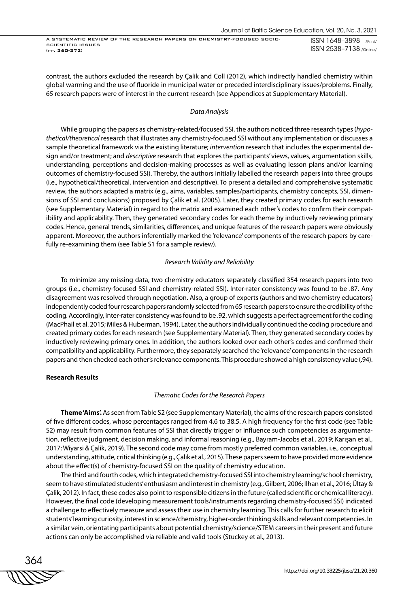A SYSTEMATIC REVIEW OF THE RESEARCH PAPERS ON CHEMISTRY-FOCUSED SOCIO-SCIENTIFIC ISSUES (pp. 360-372)

ISSN 1648–3898 /Print/ ISSN 2538–7138 /Online/

contrast, the authors excluded the research by Çalik and Coll (2012), which indirectly handled chemistry within global warming and the use of fluoride in municipal water or preceded interdisciplinary issues/problems. Finally, 65 research papers were of interest in the current research (see Appendices at Supplementary Material).

#### *Data Analysis*

While grouping the papers as chemistry-related/focused SSI, the authors noticed three research types (*hypothetical/theoretical* research that illustrates any chemistry-focused SSI without any implementation or discusses a sample theoretical framework via the existing literature; *intervention* research that includes the experimental design and/or treatment; and *descriptive* research that explores the participants' views, values, argumentation skills, understanding, perceptions and decision-making processes as well as evaluating lesson plans and/or learning outcomes of chemistry-focused SSI). Thereby, the authors initially labelled the research papers into three groups (i.e., hypothetical/theoretical, intervention and descriptive). To present a detailed and comprehensive systematic review, the authors adapted a matrix (e.g., aims, variables, samples/participants, chemistry concepts, SSI, dimensions of SSI and conclusions) proposed by Çalik et al. (2005). Later, they created primary codes for each research (see Supplementary Material) in regard to the matrix and examined each other's codes to confirm their compatibility and applicability. Then, they generated secondary codes for each theme by inductively reviewing primary codes. Hence, general trends, similarities, differences, and unique features of the research papers were obviously apparent. Moreover, the authors inferentially marked the 'relevance' components of the research papers by carefully re-examining them (see Table S1 for a sample review).

### *Research Validity and Reliability*

To minimize any missing data, two chemistry educators separately classified 354 research papers into two groups (i.e., chemistry-focused SSI and chemistry-related SSI). Inter-rater consistency was found to be .87. Any disagreement was resolved through negotiation. Also, a group of experts (authors and two chemistry educators) independently coded four research papers randomly selected from 65 research papers to ensure the credibility of the coding. Accordingly, inter-rater consistency was found to be .92, which suggests a perfect agreement for the coding (MacPhail et al. 2015; Miles & Huberman, 1994). Later, the authors individually continued the coding procedure and created primary codes for each research (see Supplementary Material). Then, they generated secondary codes by inductively reviewing primary ones. In addition, the authors looked over each other's codes and confirmed their compatibility and applicability. Furthermore, they separately searched the 'relevance' components in the research papers and then checked each other's relevance components. This procedure showed a high consistency value (.94).

## **Research Results**

#### *Thematic Codes for the Research Papers*

**Theme 'Aims'.** As seen from Table S2 (see Supplementary Material), the aims of the research papers consisted of five different codes, whose percentages ranged from 4.6 to 38.5. A high frequency for the first code (see Table S2) may result from common features of SSI that directly trigger or influence such competencies as argumentation, reflective judgment, decision making, and informal reasoning (e.g., Bayram-Jacobs et al., 2019; Karışan et al., 2017; Wiyarsi & Çalik, 2019). The second code may come from mostly preferred common variables, i.e., conceptual understanding, attitude, critical thinking (e.g., Çalık et al., 2015). These papers seem to have provided more evidence about the effect(s) of chemistry-focused SSI on the quality of chemistry education.

The third and fourth codes, which integrated chemistry-focused SSI into chemistry learning/school chemistry, seem to have stimulated students' enthusiasm and interest in chemistry (e.g., Gilbert, 2006; Ilhan et al., 2016; Ültay & Çalik, 2012). In fact, these codes also point to responsible citizens in the future (called scientific or chemical literacy). However, the final code (developing measurement tools/instruments regarding chemistry-focused SSI) indicated a challenge to effectively measure and assess their use in chemistry learning. This calls for further research to elicit students' learning curiosity, interest in science/chemistry, higher-order thinking skills and relevant competencies. In a similar vein, orientating participants about potential chemistry/science/STEM careers in their present and future actions can only be accomplished via reliable and valid tools (Stuckey et al., 2013).

364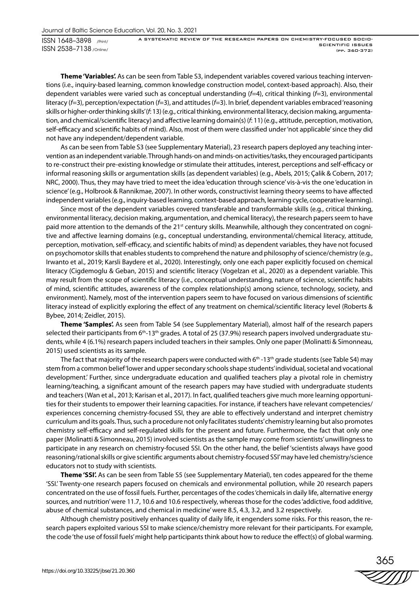A SYSTEMATIC REVIEW OF THE RESEARCH PAPERS ON CHEMISTRY-FOCUSED SOCIO-SCIENTIFIC ISSUES (pp. 360-372)

**Theme 'Variables'.** As can be seen from Table S3, independent variables covered various teaching interventions (i.e., inquiry-based learning, common knowledge construction model, context-based approach). Also, their dependent variables were varied such as conceptual understanding (*f*=4), critical thinking (*f*=3), environmental literacy (*f*=3), perception/expectation (*f*=3), and attitudes (*f*=3). In brief, dependent variables embraced 'reasoning skills or higher-order thinking skills' (*f*: 13) (e.g., critical thinking, environmental literacy, decision making, argumentation, and chemical/scientific literacy) and affective learning domain(s) (*f*: 11) (e.g., attitude, perception, motivation, self-efficacy and scientific habits of mind). Also, most of them were classified under 'not applicable' since they did not have any independent/dependent variable.

As can be seen from Table S3 (see Supplementary Material), 23 research papers deployed any teaching intervention as an independent variable. Through hands-on and minds-on activities/tasks, they encouraged participants to re-construct their pre-existing knowledge or stimulate their attitudes, interest, perceptions and self-efficacy or informal reasoning skills or argumentation skills (as dependent variables) (e.g., Abels, 2015; Çalik & Cobern, 2017; NRC, 2000). Thus, they may have tried to meet the idea 'education through science' vis-à-vis the one 'education in science' (e.g., Holbrook & Rannikmae, 2007). In other words, constructivist learning theory seems to have affected independent variables (e.g., inquiry-based learning, context-based approach, learning cycle, cooperative learning).

Since most of the dependent variables covered transferable and transformable skills (e.g., critical thinking, environmental literacy, decision making, argumentation, and chemical literacy), the research papers seem to have paid more attention to the demands of the 21<sup>st</sup> century skills. Meanwhile, although they concentrated on cognitive and affective learning domains (e.g., conceptual understanding, environmental/chemical literacy, attitude, perception, motivation, self-efficacy, and scientific habits of mind) as dependent variables, they have not focused on psychomotor skills that enables students to comprehend the nature and philosophy of science/chemistry (e.g., Irwanto et al., 2019; Karsli Baydere et al., 2020). Interestingly, only one each paper explicitly focused on chemical literacy (Cigdemoglu & Geban, 2015) and scientific literacy (Vogelzan et al., 2020) as a dependent variable. This may result from the scope of scientific literacy (i.e., conceptual understanding, nature of science, scientific habits of mind, scientific attitudes, awareness of the complex relationship(s) among science, technology, society, and environment). Namely, most of the intervention papers seem to have focused on various dimensions of scientific literacy instead of explicitly exploring the effect of any treatment on chemical/scientific literacy level (Roberts & Bybee, 2014; Zeidler, 2015).

**Theme 'Samples'.** As seen from Table S4 (see Supplementary Material), almost half of the research papers selected their participants from 6<sup>th</sup>-13<sup>th</sup> grades. A total of 25 (37.9%) research papers involved undergraduate students, while 4 (6.1%) research papers included teachers in their samples. Only one paper (Molinatti & Simonneau, 2015) used scientists as its sample.

The fact that majority of the research papers were conducted with  $6<sup>th</sup>$ -13<sup>th</sup> grade students (see Table S4) may stem from a common belief 'lower and upper secondary schools shape students' individual, societal and vocational development.' Further, since undergraduate education and qualified teachers play a pivotal role in chemistry learning/teaching, a significant amount of the research papers may have studied with undergraduate students and teachers (Wan et al., 2013; Karisan et al., 2017). In fact, qualified teachers give much more learning opportunities for their students to empower their learning capacities. For instance, if teachers have relevant competencies/ experiences concerning chemistry-focused SSI, they are able to effectively understand and interpret chemistry curriculum and its goals. Thus, such a procedure not only facilitates students' chemistry learning but also promotes chemistry self-efficacy and self-regulated skills for the present and future. Furthermore, the fact that only one paper (Molinatti & Simonneau, 2015) involved scientists as the sample may come from scientists' unwillingness to participate in any research on chemistry-focused SSI. On the other hand, the belief 'scientists always have good reasoning/rational skills or give scientific arguments about chemistry-focused SSI' may have led chemistry/science educators not to study with scientists.

**Theme 'SSI'.** As can be seen from Table S5 (see Supplementary Material), ten codes appeared for the theme 'SSI.' Twenty-one research papers focused on chemicals and environmental pollution, while 20 research papers concentrated on the use of fossil fuels. Further, percentages of the codes 'chemicals in daily life, alternative energy sources, and nutrition' were 11.7, 10.6 and 10.6 respectively, whereas those for the codes 'addictive, food additive, abuse of chemical substances, and chemical in medicine' were 8.5, 4.3, 3.2, and 3.2 respectively.

Although chemistry positively enhances quality of daily life, it engenders some risks. For this reason, the research papers exploited various SSI to make science/chemistry more relevant for their participants. For example, the code 'the use of fossil fuels' might help participants think about how to reduce the effect(s) of global warming.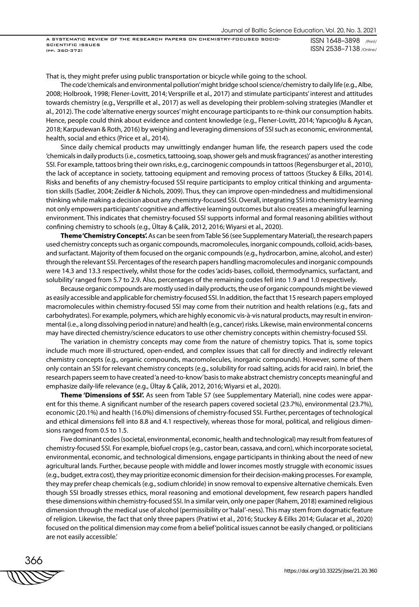ISSN 1648–3898 /Print/ ISSN 2538–7138 /Online/ A SYSTEMATIC REVIEW OF THE RESEARCH PAPERS ON CHEMISTRY-FOCUSED SOCIO-SCIENTIFIC ISSUES (pp. 360-372)

That is, they might prefer using public transportation or bicycle while going to the school.

The code 'chemicals and environmental pollution' might bridge school science/chemistry to daily life (e.g., Albe, 2008; Holbrook, 1998; Flener-Lovitt, 2014; Versprille et al., 2017) and stimulate participants' interest and attitudes towards chemistry (e.g., Versprille et al., 2017) as well as developing their problem-solving strategies (Mandler et al., 2012). The code 'alternative energy sources' might encourage participants to re-think our consumption habits. Hence, people could think about evidence and content knowledge (e.g., Flener-Lovitt, 2014; Yapıcıoğlu & Aycan, 2018; Karpudewan & Roth, 2016) by weighing and leveraging dimensions of SSI such as economic, environmental, health, social and ethics (Price et al., 2014).

Since daily chemical products may unwittingly endanger human life, the research papers used the code 'chemicals in daily products (i.e., cosmetics, tattooing, soap, shower gels and musk fragrances)' as another interesting SSI. For example, tattoos bring their own risks, e.g., carcinogenic compounds in tattoos (Regensburger et al., 2010), the lack of acceptance in society, tattooing equipment and removing process of tattoos (Stuckey & Eilks, 2014). Risks and benefits of any chemistry-focused SSI require participants to employ critical thinking and argumentation skills (Sadler, 2004; Zeidler & Nichols, 2009). Thus, they can improve open-mindedness and multidimensional thinking while making a decision about any chemistry-focused SSI. Overall, integrating SSI into chemistry learning not only empowers participants' cognitive and affective learning outcomes but also creates a meaningful learning environment. This indicates that chemistry-focused SSI supports informal and formal reasoning abilities without confining chemistry to schools (e.g., Ültay & Çalik, 2012, 2016; Wiyarsi et al., 2020).

**Theme 'Chemistry Concepts'.** As can be seen from Table S6 (see Supplementary Material), the research papers used chemistry concepts such as organic compounds, macromolecules, inorganic compounds, colloid, acids-bases, and surfactant. Majority of them focused on the organic compounds (e.g., hydrocarbon, amine, alcohol, and ester) through the relevant SSI. Percentages of the research papers handling macromolecules and inorganic compounds were 14.3 and 13.3 respectively, whilst those for the codes 'acids-bases, colloid, thermodynamics, surfactant, and solubility' ranged from 5.7 to 2.9. Also, percentages of the remaining codes fell into 1.9 and 1.0 respectively.

Because organic compounds are mostly used in daily products, the use of organic compounds might be viewed as easily accessible and applicable for chemistry-focused SSI. In addition, the fact that 15 research papers employed macromolecules within chemistry-focused SSI may come from their nutrition and health relations (e.g., fats and carbohydrates). For example, polymers, which are highly economic vis-à-vis natural products, may result in environmental (i.e., a long dissolving period in nature) and health (e.g., cancer) risks. Likewise, main environmental concerns may have directed chemistry/science educators to use other chemistry concepts within chemistry-focused SSI.

The variation in chemistry concepts may come from the nature of chemistry topics. That is, some topics include much more ill-structured, open-ended, and complex issues that call for directly and indirectly relevant chemistry concepts (e.g., organic compounds, macromolecules, inorganic compounds). However, some of them only contain an SSI for relevant chemistry concepts (e.g., solubility for road salting, acids for acid rain). In brief, the research papers seem to have created 'a need-to-know' basis to make abstract chemistry concepts meaningful and emphasize daily-life relevance (e.g., Ültay & Çalik, 2012, 2016; Wiyarsi et al., 2020).

**Theme 'Dimensions of SSI'.** As seen from Table S7 (see Supplementary Material), nine codes were apparent for this theme. A significant number of the research papers covered societal (23.7%), environmental (23.7%), economic (20.1%) and health (16.0%) dimensions of chemistry-focused SSI. Further, percentages of technological and ethical dimensions fell into 8.8 and 4.1 respectively, whereas those for moral, political, and religious dimensions ranged from 0.5 to 1.5.

Five dominant codes (societal, environmental, economic, health and technological) may result from features of chemistry-focused SSI. For example, biofuel crops (e.g., castor bean, cassava, and corn), which incorporate societal, environmental, economic, and technological dimensions, engage participants in thinking about the need of new agricultural lands. Further, because people with middle and lower incomes mostly struggle with economic issues (e.g., budget, extra cost), they may prioritize economic dimension for their decision-making processes. For example, they may prefer cheap chemicals (e.g., sodium chloride) in snow removal to expensive alternative chemicals. Even though SSI broadly stresses ethics, moral reasoning and emotional development, few research papers handled these dimensions within chemistry-focused SSI. In a similar vein, only one paper (Rahem, 2018) examined religious dimension through the medical use of alcohol (permissibility or 'halal'-ness). This may stem from dogmatic feature of religion. Likewise, the fact that only three papers (Pratiwi et al., 2016; Stuckey & Eilks 2014; Gulacar et al., 2020) focused on the political dimension may come from a belief 'political issues cannot be easily changed, or politicians are not easily accessible.'

366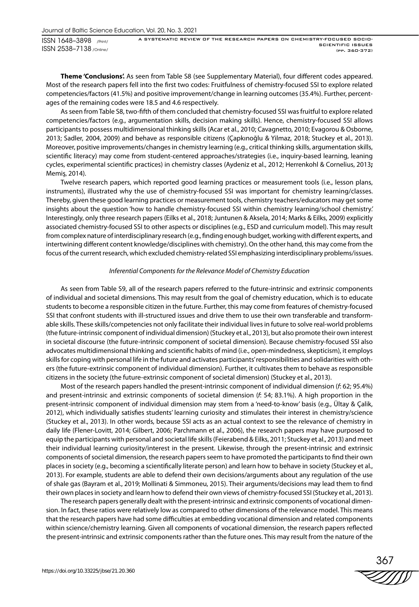A SYSTEMATIC REVIEW OF THE RESEARCH PAPERS ON CHEMISTRY-FOCUSED SOCIO-SCIENTIFIC ISSUES (pp. 360-372)

**Theme 'Conclusions'.** As seen from Table S8 (see Supplementary Material), four different codes appeared. Most of the research papers fell into the first two codes: Fruitfulness of chemistry-focused SSI to explore related competencies/factors (41.5%) and positive improvement/change in learning outcomes (35.4%). Further, percentages of the remaining codes were 18.5 and 4.6 respectively.

As seen from Table S8, two-fifth of them concluded that chemistry-focused SSI was fruitful to explore related competencies/factors (e.g., argumentation skills, decision making skills). Hence, chemistry-focused SSI allows participants to possess multidimensional thinking skills (Acar et al., 2010; Cavagnetto, 2010; Evagorou & Osborne, 2013; Sadler, 2004, 2009) and behave as responsible citizens (Çapkınoğlu & Yilmaz, 2018; Stuckey et al., 2013). Moreover, positive improvements/changes in chemistry learning (e.g., critical thinking skills, argumentation skills, scientific literacy) may come from student-centered approaches/strategies (i.e., inquiry-based learning, leaning cycles, experimental scientific practices) in chemistry classes (Aydeniz et al., 2012; Herrenkohl & Cornelius, 2013**;**  Memiş, 2014).

Twelve research papers, which reported good learning practices or measurement tools (i.e., lesson plans, instruments), illustrated why the use of chemistry-focused SSI was important for chemistry learning/classes. Thereby, given these good learning practices or measurement tools, chemistry teachers/educators may get some insights about the question 'how to handle chemistry-focused SSI within chemistry learning/school chemistry.' Interestingly, only three research papers (Eilks et al., 2018; Juntunen & Aksela, 2014; Marks & Eilks, 2009) explicitly associated chemistry-focused SSI to other aspects or disciplines (e.g., ESD and curriculum model). This may result from complex nature of interdisciplinary research (e.g., finding enough budget, working with different experts, and intertwining different content knowledge/disciplines with chemistry). On the other hand, this may come from the focus of the current research, which excluded chemistry-related SSI emphasizing interdisciplinary problems/issues.

## *Inferential Components for the Relevance Model of Chemistry Education*

As seen from Table S9, all of the research papers referred to the future-intrinsic and extrinsic components of individual and societal dimensions. This may result from the goal of chemistry education, which is to educate students to become a responsible citizen in the future. Further, this may come from features of chemistry-focused SSI that confront students with ill-structured issues and drive them to use their own transferable and transformable skills. These skills/competencies not only facilitate their individual lives in future to solve real-world problems (the future-intrinsic component of individual dimension) (Stuckey et al., 2013), but also promote their own interest in societal discourse (the future-intrinsic component of societal dimension). Because chemistry-focused SSI also advocates multidimensional thinking and scientific habits of mind (i.e., open-mindedness, skepticism), it employs skills for coping with personal life in the future and activates participants' responsibilities and solidarities with others (the future-extrinsic component of individual dimension). Further, it cultivates them to behave as responsible citizens in the society (the future-extrinsic component of societal dimension) (Stuckey et al., 2013).

Most of the research papers handled the present-intrinsic component of individual dimension (*f*: 62; 95.4%) and present-intrinsic and extrinsic components of societal dimension (*f*: 54; 83.1%). A high proportion in the present-intrinsic component of individual dimension may stem from a 'need-to-know' basis (e.g., Ültay & Çalik, 2012), which individually satisfies students' learning curiosity and stimulates their interest in chemistry/science (Stuckey et al., 2013). In other words, because SSI acts as an actual context to see the relevance of chemistry in daily life (Flener-Lovitt, 2014; Gilbert, 2006; Parchmann et al., 2006), the research papers may have purposed to equip the participants with personal and societal life skills (Feierabend & Eilks, 2011; Stuckey et al., 2013) and meet their individual learning curiosity/interest in the present. Likewise, through the present-intrinsic and extrinsic components of societal dimension, the research papers seem to have promoted the participants to find their own places in society (e.g., becoming a scientifically literate person) and learn how to behave in society (Stuckey et al., 2013). For example, students are able to defend their own decisions/arguments about any regulation of the use of shale gas (Bayram et al., 2019; Mollinati & Simmoneu, 2015). Their arguments/decisions may lead them to find their own places in society and learn how to defend their own views of chemistry-focused SSI (Stuckey et al., 2013).

The research papers generally dealt with the present-intrinsic and extrinsic components of vocational dimension. In fact, these ratios were relatively low as compared to other dimensions of the relevance model. This means that the research papers have had some difficulties at embedding vocational dimension and related components within science/chemistry learning. Given all components of vocational dimension, the research papers reflected the present-intrinsic and extrinsic components rather than the future ones. This may result from the nature of the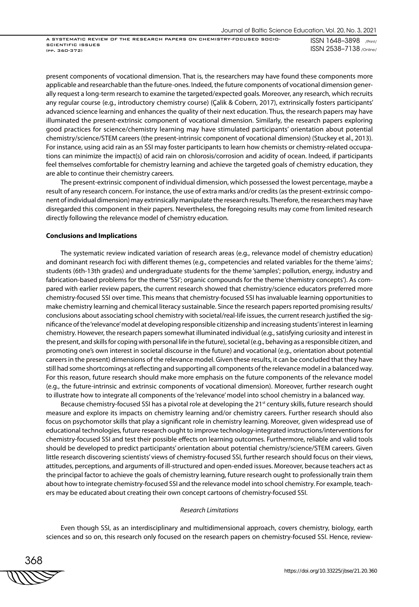ISSN 1648–3898 /Print/ ISSN 2538–7138 /Online/ A SYSTEMATIC REVIEW OF THE RESEARCH PAPERS ON CHEMISTRY-FOCUSED SOCIO-SCIENTIFIC ISSUES (pp. 360-372)

present components of vocational dimension. That is, the researchers may have found these components more applicable and researchable than the future-ones. Indeed, the future components of vocational dimension generally request a long-term research to examine the targeted/expected goals. Moreover, any research, which recruits any regular course (e.g., introductory chemistry course) (Çalik & Cobern, 2017), extrinsically fosters participants' advanced science learning and enhances the quality of their next education. Thus, the research papers may have illuminated the present-extrinsic component of vocational dimension. Similarly, the research papers exploring good practices for science/chemistry learning may have stimulated participants' orientation about potential chemistry/science/STEM careers (the present-intrinsic component of vocational dimension) (Stuckey et al., 2013). For instance, using acid rain as an SSI may foster participants to learn how chemists or chemistry-related occupations can minimize the impact(s) of acid rain on chlorosis/corrosion and acidity of ocean. Indeed, if participants feel themselves comfortable for chemistry learning and achieve the targeted goals of chemistry education, they are able to continue their chemistry careers.

The present-extrinsic component of individual dimension, which possessed the lowest percentage, maybe a result of any research concern. For instance, the use of extra marks and/or credits (as the present-extrinsic component of individual dimension) may extrinsically manipulate the research results. Therefore, the researchers may have disregarded this component in their papers. Nevertheless, the foregoing results may come from limited research directly following the relevance model of chemistry education.

#### **Conclusions and Implications**

The systematic review indicated variation of research areas (e.g., relevance model of chemistry education) and dominant research foci with different themes (e.g., competencies and related variables for the theme 'aims'; students (6th-13th grades) and undergraduate students for the theme 'samples'; pollution, energy, industry and fabrication-based problems for the theme 'SSI'; organic compounds for the theme 'chemistry concepts'). As compared with earlier review papers, the current research showed that chemistry/science educators preferred more chemistry-focused SSI over time. This means that chemistry-focused SSI has invaluable learning opportunities to make chemistry learning and chemical literacy sustainable. Since the research papers reported promising results/ conclusions about associating school chemistry with societal/real-life issues, the current research justified the significance of the 'relevance' model at developing responsible citizenship and increasing students' interest in learning chemistry. However, the research papers somewhat illuminated individual (e.g., satisfying curiosity and interest in the present, and skills for coping with personal life in the future), societal (e.g., behaving as a responsible citizen, and promoting one's own interest in societal discourse in the future) and vocational (e.g., orientation about potential careers in the present) dimensions of the relevance model. Given these results, it can be concluded that they have still had some shortcomings at reflecting and supporting all components of the relevance model in a balanced way. For this reason, future research should make more emphasis on the future components of the relevance model (e.g., the future-intrinsic and extrinsic components of vocational dimension). Moreover, further research ought to illustrate how to integrate all components of the 'relevance' model into school chemistry in a balanced way.

Because chemistry-focused SSI has a pivotal role at developing the 21<sup>st</sup> century skills, future research should measure and explore its impacts on chemistry learning and/or chemistry careers. Further research should also focus on psychomotor skills that play a significant role in chemistry learning. Moreover, given widespread use of educational technologies, future research ought to improve technology-integrated instructions/interventions for chemistry-focused SSI and test their possible effects on learning outcomes. Furthermore, reliable and valid tools should be developed to predict participants' orientation about potential chemistry/science/STEM careers. Given little research discovering scientists' views of chemistry-focused SSI, further research should focus on their views, attitudes, perceptions, and arguments of ill-structured and open-ended issues. Moreover, because teachers act as the principal factor to achieve the goals of chemistry learning, future research ought to professionally train them about how to integrate chemistry-focused SSI and the relevance model into school chemistry. For example, teachers may be educated about creating their own concept cartoons of chemistry-focused SSI.

## *Research Limitations*

Even though SSI, as an interdisciplinary and multidimensional approach, covers chemistry, biology, earth sciences and so on, this research only focused on the research papers on chemistry-focused SSI. Hence, review-

368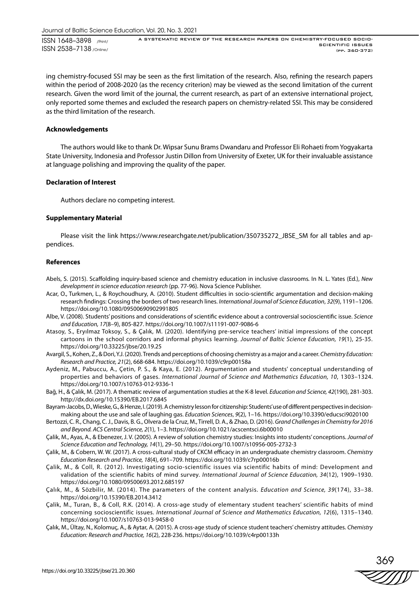A SYSTEMATIC REVIEW OF THE RESEARCH PAPERS ON CHEMISTRY-FOCUSED SOCIO-SCIENTIFIC ISSUES (pp. 360-372)

ing chemistry-focused SSI may be seen as the first limitation of the research. Also, refining the research papers within the period of 2008-2020 (as the recency criterion) may be viewed as the second limitation of the current research. Given the word limit of the journal, the current research, as part of an extensive international project, only reported some themes and excluded the research papers on chemistry-related SSI. This may be considered as the third limitation of the research.

## **Acknowledgements**

The authors would like to thank Dr. Wipsar Sunu Brams Dwandaru and Professor Eli Rohaeti from Yogyakarta State University, Indonesia and Professor Justin Dillon from University of Exeter, UK for their invaluable assistance at language polishing and improving the quality of the paper.

## **Declaration of Interest**

Authors declare no competing interest.

#### **Supplementary Material**

Please visit the link https://www.researchgate.net/publication/350735272\_JBSE\_SM for all tables and appendices.

#### **References**

- Abels, S. (2015). Scaffolding inquiry-based science and chemistry education in inclusive classrooms*.* In N. L. Yates (Ed.), *New development in science education research* (pp. 77-96). Nova Science Publisher.
- Acar, O., Turkmen, L., & Roychoudhury, A. (2010). Student difficulties in socio-scientific argumentation and decision-making research findings: Crossing the borders of two research lines. *International Journal of Science Education*, *32*(9), 1191–1206. https://doi.org/10.1080/09500690902991805
- Albe, V. (2008). Students' positions and considerations of scientific evidence about a controversial socioscientific issue. *Science and Education, 17*(8–9), 805-827. https://doi.org/10.1007/s11191-007-9086-6
- Atasoy, S., Eryılmaz Toksoy, S., & Çalık, M. (2020). Identifying pre-service teachers' initial impressions of the concept cartoons in the school corridors and informal physics learning. *Journal of Baltic Science Education, 19*(1), 25-35. https://doi.org/10.33225/jbse/20.19.25
- Avargil, S., Kohen, Z., & Dori, Y.J. (2020). Trends and perceptions of choosing chemistry as a major and a career. *Chemistry Education: Research and Practice, 21*(2), 668-684. https://doi.org/10.1039/c9rp00158a
- Aydeniz, M., Pabuccu, A., Çetin, P. S., & Kaya, E. (2012). Argumentation and students' conceptual understanding of properties and behaviors of gases. *International Journal of Science and Mathematics Education, 10*, 1303–1324. https://doi.org/10.1007/s10763-012-9336-1
- Bağ, H., & Çalık, M. (2017). A thematic review of argumentation studies at the K-8 level. *Education and Science, 42*(190), 281-303. http://dx.doi.org/10.15390/EB.2017.6845
- Bayram-Jacobs, D., Wieske, G., & Henze, I. (2019). A chemistry lesson for citizenship: Students' use of different perspectives in decisionmaking about the use and sale of laughing gas. *Education Sciences*, *9*(2), 1–16. https://doi.org/10.3390/educsci9020100
- Bertozzi, C. R., Chang, C. J., Davis, B. G., Olvera de la Cruz, M., Tirrell, D. A., & Zhao, D. (2016). *Grand Challenges in Chemistry for 2016 and Beyond. ACS Central Science, 2*(1), 1–3. https://doi.org/10.1021/acscentsci.6b00010
- Çalik, M., Ayas, A., & Ebenezer, J. V. (2005). A review of solution chemistry studies: Insights into students' conceptions. *Journal of Science Education and Technology, 14*(1), 29–50. https://doi.org/10.1007/s10956-005-2732-3
- Çalik, M., & Cobern, W. W. (2017). A cross-cultural study of CKCM efficacy in an undergraduate chemistry classroom. *Chemistry Education Research and Practice, 18*(4), 691–709. https://doi.org/10.1039/c7rp00016b
- Çalik, M., & Coll, R. (2012). Investigating socio-scientific issues via scientific habits of mind: Development and validation of the scientific habits of mind survey. *International Journal of Science Education, 34*(12), 1909–1930. https://doi.org/10.1080/09500693.2012.685197
- Çalık, M., & Sözbilir, M. (2014). The parameters of the content analysis. *Education and Science, 39*(174), 33–38. https://doi.org/10.15390/EB.2014.3412
- Çalik, M., Turan, B., & Coll, R.K. (2014). A cross-age study of elementary student teachers' scientific habits of mind concerning socioscientific issues. *International Journal of Science and Mathematics Education, 12*(6), 1315–1340. https://doi.org/10.1007/s10763-013-9458-0
- Çalık, M., Ültay, N., Kolomuç, A., & Aytar, A. (2015). A cross-age study of science student teachers' chemistry attitudes. *Chemistry Education: Research and Practice, 16*(2), 228-236. https://doi.org/10.1039/c4rp00133h

369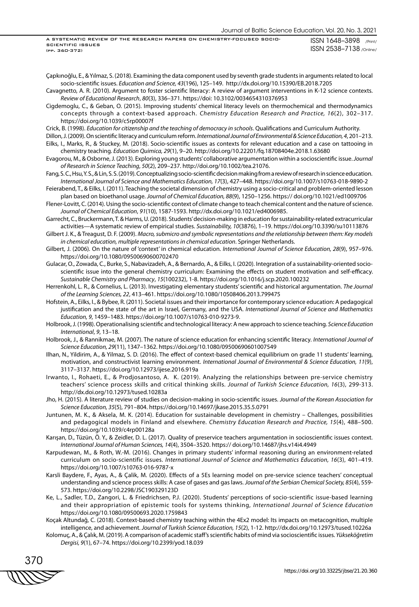A SYSTEMATIC REVIEW OF THE RESEARCH PAPERS ON CHEMISTRY-FOCUSED SOCIO-SCIENTIFIC ISSUES (pp. 360-372)

ISSN 1648–3898 /Print/ ISSN 2538–7138 /Online/

Çapkınoğlu, E., & Yılmaz, S. (2018). Examining the data component used by seventh grade students in arguments related to local socio-scientific issues. *Education and Science, 43*(196), 125–149. http://dx.doi.org/10.15390/EB.2018.7205

- Cavagnetto, A. R. (2010). Argument to foster scientific literacy: A review of argument interventions in K-12 science contexts. *Review of Educational Research*, *80*(3), 336–371. https://doi: 10.3102/0034654310376953
- Cigdemoglu, C., & Geban, O. (2015). Improving students' chemical literacy levels on thermochemical and thermodynamics concepts through a context-based approach. *Chemistry Education Research and Practice, 16*(2), 302–317. https://doi.org/10.1039/c5rp00007f

Crick, B. (1998). *Education for citizenship and the teaching of democracy in schools*. Qualifications and Curriculum Authority.

- Dillon, J. (2009). On scientific literacy and curriculum reform. *International Journal of Environmental & Science Education, 4*, 201–213. Eilks, I., Marks, R., & Stuckey, M. (2018). Socio-scientific issues as contexts for relevant education and a case on tattooing in chemistry teaching. *Education Quimica, 29*(1), 9–20. http://doi.org/10.22201/fq.18708404e.2018.1.63680
- Evagorou, M., & Osborne, J. (2013). Exploring young students' collaborative argumentation within a socioscientific issue. *Journal of Research in Science Teaching*, *50*(2), 209–237. http://doi.org/10.1002/tea.21076.
- Fang, S. C., Hsu, Y. S., & Lin, S. S. (2019). Conceptualizing socio-scientific decision making from a review of research in science education. *International Journal of Science and Mathematics Education, 17*(3), 427–448. https://doi.org/10.1007/s10763-018-9890-2
- Feierabend, T., & Eilks, I. (2011). Teaching the societal dimension of chemistry using a socio-critical and problem-oriented lesson plan based on bioethanol usage. *Journal of Chemical Education, 88*(9), 1250–1256. https:// doi.org/10.1021/ed1009706
- Flener-Lovitt, C. (2014). Using the socio-scientific context of climate change to teach chemical content and the nature of science. *Journal of Chemical Education*, *91*(10), 1587-1593. http://dx.doi.org/10.1021/ed4006985.
- Garrecht, C., Bruckermann, T. & Harms, U. (2018). Students' decision-making in education for sustainability-related extracurricular activities—A systematic review of empirical studies. *Sustainability, 10*(3876), 1–19. https://doi.org/10.3390/su10113876
- Gilbert J. K., & Treagust, D. F. (2009). *Macro, submicro and symbolic representations and the relationship between them: Key models in chemical education, multiple representations in chemical education*. Springer Netherlands.
- Gilbert, J. (2006). On the nature of 'context' in chemical education. *International Journal of Science Education, 28*(9), 957–976. https://doi.org/10.1080/09500690600702470
- Gulacar, O., Zowada, C., Burke, S., Nabavizadeh, A., & Bernardo, A., & Eilks, I. (2020). Integration of a sustainability-oriented socioscientific issue into the general chemistry curriculum: Examining the effects on student motivation and self-efficacy. *Sustainable Chemistry and Pharmacy*, *15*(100232), 1-8. https://doi.org/10.1016/j.scp.2020.100232
- Herrenkohl, L. R., & Cornelius, L. (2013). Investigating elementary students' scientific and historical argumentation. *The Journal of the Learning Sciences, 22*, 413–461. https://doi.org/10.1080/10508406.2013.799475
- Hofstein, A., Eilks, I., & Bybee, R. (2011). Societal issues and their importance for contemporary science education: A pedagogical justification and the state of the art in Israel, Germany, and the USA. *International Journal of Science and Mathematics Education, 9*, 1459–1483. https://doi.org/10.1007/s10763-010-9273-9.
- Holbrook, J. (1998). Operationalising scientific and technological literacy: A new approach to science teaching. *Science Education International*, *9*, 13–18.
- Holbrook, J., & Rannikmae, M. (2007). The nature of science education for enhancing scientific literacy*. International Journal of Science Education, 29*(11), 1347–1362. https://doi.org/10.1080/09500690601007549
- Ilhan, N., Yildirim, A., & Yilmaz, S. D. (2016). The effect of context-based chemical equilibrium on grade 11 students' learning, motivation, and constructivist learning environment. *International Journal of Environmental & Science Education, 11*(9), 3117–3137. https://doi.org/10.12973/ijese.2016.919a
- Irwanto, I., Rohaeti, E., & Prodjosantoso, A. K. (2019). Analyzing the relationships between pre-service chemistry teachers' science process skills and critical thinking skills. *Journal of Turkish Science Education, 16*(3), 299-313. http://dx.doi.org/10.12973/tused.10283a
- Jho, H. (2015). A literature review of studies on decision-making in socio-scientific issues. *Journal of the Korean Association for Science Education, 35*(5), 791–804. https://doi.org/10.14697/jkase.2015.35.5.0791
- Juntunen, M. K., & Aksela, M. K. (2014). Education for sustainable development in chemistry Challenges, possibilities and pedagogical models in Finland and elsewhere. *Chemistry Education Research and Practice, 15*(4), 488–500. https://doi.org/10.1039/c4rp00128a
- Karışan, D., Tüzün, Ö. Y., & Zeidler, D. L. (2017). Quality of preservice teachers argumentation in socioscientific issues context. *International Journal of Human Sciences, 14*(4), 3504–3520. https:// doi.org/10.14687/jhs.v14i4.4949
- Karpudewan, M., & Roth, W.-M. (2016). Changes in primary students' informal reasoning during an environment-related curriculum on socio-scientific issues. *International Journal of Science and Mathematics Education, 16*(3), 401–419. https://doi.org/10.1007/s10763-016-9787-x
- Karsli Baydere, F., Ayas, A., & Çalik, M. (2020). Effects of a 5Es learning model on pre-service science teachers' conceptual understanding and science process skills: A case of gases and gas laws. *Journal of the Serbian Chemical Society, 85*(4), 559- 573. https://doi.org/10.2298/JSC190329123D
- Ke, L., Sadler, T.D., Zangori, L. & Friedrichsen, P.J. (2020). Students' perceptions of socio-scientific issue-based learning and their appropriation of epistemic tools for systems thinking, *International Journal of Science Education* https://doi.org/10.1080/09500693.2020.1759843
- Koçak Altundağ, C. (2018). Context-based chemistry teaching within the 4Ex2 model: Its impacts on metacognition, multiple intelligence, and achievement. *Journal of Turkish Science Education, 15*(2), 1-12. http://dx.doi.org/10.12973/tused.10226a
- Kolomuç, A., & Çalık, M. (2019). A comparison of academic staff's scientific habits of mind via socioscientific issues. *Yükseköğretim Dergisi, 9*(1), 67–74. https://doi.org/10.2399/yod.18.039

370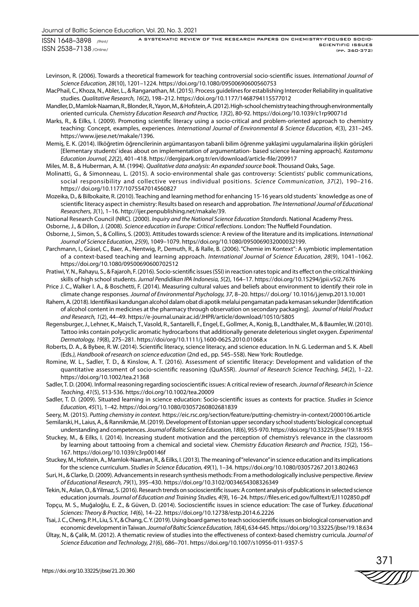A SYSTEMATIC REVIEW OF THE RESEARCH PAPERS ON CHEMISTRY-FOCUSED SOCIO-SCIENTIFIC ISSUES (pp. 360-372)

- Levinson, R. (2006). Towards a theoretical framework for teaching controversial socio-scientific issues. *International Journal of Science Education, 28*(10), 1201–1224. https://doi.org/10.1080/09500690600560753
- MacPhail, C., Khoza, N., Abler, L., & Ranganathan, M. (2015). Process guidelines for establishing Intercoder Reliability in qualitative studies. *Qualitative Research, 16*(2), 198–212. https://doi.org/10.1177/1468794115577012
- Mandler, D., Mamlok-Naaman, R., Blonder, R., Yayon, M., & Hofstein, A. (2012). High-school chemistry teaching through environmentally oriented curricula. *Chemistry Education Research and Practice, 13*(2), 80-92. https://doi.org/10.1039/c1rp90071d
- Marks, R., & Eilks, I. (2009). Promoting scientific literacy using a socio-critical and problem-oriented approach to chemistry teaching: Concept, examples, experiences. *International Journal of Environmental & Science Education, 4*(3), 231–245. https://www.ijese.net/makale/1396.
- Memiş, E. K. (2014). Ilköğretim öğrencilerinin argümantasyon tabanli bilim öğrenme yaklaşimi uygulamalarina ilişkin görüşleri [Elementary students' ideas about on implementation of argumentation- based science learning approach]. *Kastamonu Education Journal, 22*(2), 401–418. https://dergipark.org.tr/en/download/article-file/209917

Miles, M. B., & Huberman, A. M. (1994). *Qualitative data analysis: An expanded source book*. Thousand Oaks, Sage.

- Molinatti, G., & Simonneau, L. (2015). A socio-environmental shale gas controversy: Scientists' public communications, social responsibility and collective versus individual positions. *Science Communication, 37*(2), 190–216. https:// doi.org/10.1177/1075547014560827
- Mozeika, D., & Bilbokaite, R. (2010). Teaching and learning method for enhancing 15-16 years old students` knowledge as one of scientific literacy aspect in chemistry: Results based on research and approbation. *The International Journal of Educational Researchers, 3*(1), 1–16. http://ijer.penpublishing.net/makale/39.

National Research Council (NRC). (2000). *Inquiry and the National Science Education Standards*. National Academy Press.

Osborne, J., & Dillon, J. (2008). *Science education in Europe: Critical reflections*. London: The Nuffield Foundation.

- Osborne, J., Simon, S., & Collins, S. (2003). Attitudes towards science: A review of the literature and its implications. *International Journal of Science Education*, *25*(9), 1049–1079. https//doi.org/10.1080/0950069032000032199.
- Parchmann, I., Gräsel, C., Baer, A., Nentwig, P., Demuth, R., & Ralle, B. (2006). "Chemie im Kontext": A symbiotic implementation of a context-based teaching and learning approach. *International Journal of Science Education, 28*(9), 1041–1062. https://doi.org/10.1080/09500690600702512
- Pratiwi, Y. N., Rahayu, S., & Fajaroh, F. (2016). Socio-scientific issues (SSI) in reaction rates topic and its effect on the critical thinking skills of high school students. *Jurnal Pendidikan IPA Indonesia, 5*(2), 164–17. https://doi.org/10.15294/jpii.v5i2.7676
- Price J. C., Walker I. A., & Boschetti, F. (2014). Measuring cultural values and beliefs about environment to identify their role in climate change responses. *Journal of Environmental Psychology, 37*, 8–20. https:// doi.org/ 10.1016/j.jenvp.2013.10.001
- Rahem, A. (2018). Identifikasi kandungan alcohol dalam obat di apotik melalui pengamatan pada kemasan sekunder [Identification of alcohol content in medicines at the pharmacy through observation on secondary packaging]. *Journal of Halal Product and Research, 1*(2), 44–49. https://e-journal.unair.ac.id/JHPR/article/download/10510/5805
- Regensburger, J., Lehner, K., Maisch, T., Vasold, R., Santarelli, F., Engel, E., Gollmer, A., Konig, B., Landthaler, M., & Baumler, W. (2010). Tattoo inks contain polycyclic aromatic hydrocarbons that additionally generate deleterious singlet oxygen. *Experimental Dermatology, 19*(8), 275–281. https://doi/org/10.1111/j.1600-0625.2010.01068.x
- Roberts, D. A., & Bybee, R. W. (2014). Scientific literacy, science literacy, and science education. In N. G. Lederman and S. K. Abell (Eds*.), Handbook of research on science education* (2nd ed., pp. 545–558). New York: Routledge.
- Romine, W. L., Sadler, T. D., & Kinslow, A. T. (2016). Assessment of scientific literacy: Development and validation of the quantitative assessment of socio-scientific reasoning (QuASSR). *Journal of Research Science Teaching, 54*(2), 1–22. https://doi.org/10.1002/tea.21368
- Sadler, T. D. (2004). Informal reasoning regarding socioscientific issues: A critical review of research. *Journal of Research in Science Teaching*, *41*(5), 513-536. https://doi.org/10.1002/tea.20009
- Sadler, T. D. (2009). Situated learning in science education: Socio-scientific issues as contexts for practice. *Studies in Science Education, 45*(1), 1–42. https://doi.org/10.1080/03057260802681839
- Seery, M. (2015). *Putting chemistry in context*. https://eic.rsc.org/section/feature/putting-chemistry-in-context/2000106.article Semilarski, H., Laius, A., & Rannikmäe, M. (2019). Development of Estonian upper secondary school students' biological conceptual

understanding and competences. *Journal of Baltic Science Education, 18*(6), 955-970. https://doi.org/10.33225/jbse/19.18.955 Stuckey, M., & Eilks, I. (2014). Increasing student motivation and the perception of chemistry's relevance in the classroom

- by learning about tattooing from a chemical and societal view. *Chemistry Education Research and Practice, 15*(2), 156– 167. https://doi.org/10.1039/c3rp00146f
- Stuckey, M., Hofstein, A., Mamlok-Naaman, R., & Eilks, I. (2013). The meaning of "relevance" in science education and its implications for the science curriculum. *Studies in Science Education, 49*(1), 1–34. https://doi.org/10.1080/03057267.2013.802463
- Suri, H., & Clarke, D. (2009). Advancements in research synthesis methods: From a methodologically inclusive perspective. *Review of Educational Research, 79*(1), 395–430. https://doi.org/10.3102/0034654308326349
- Tekin, N., Aslan, O., & Yilmaz, S. (2016). Research trends on socioscientific issues: A content analysis of publications in selected science education journals. *Journal of Education and Training Studies, 4*(9), 16–24. https://files.eric.ed.gov/fulltext/EJ1102850.pdf
- Topçu, M. S., Muğaloğlu, E. Z., & Güven, D. (2014). Socioscientific issues in science education: The case of Turkey. *Educational Sciences: Theory & Practice, 14*(6), 14–22. https://doi.org/10.12738/estp.2014.6.2226
- Tsai, J. C., Cheng, P. H., Liu, S. Y., & Chang, C. Y. (2019). Using board games to teach socioscientific issues on biological conservation and economic development in Taiwan. *Journal of Baltic Science Education, 18*(4), 634-645. https://doi.org/10.33225/jbse/19.18.634
- Ültay, N., & Çalik, M. (2012). A thematic review of studies into the effectiveness of context-based chemistry curricula. *Journal of Science Education and Technology, 21*(6), 686–701. https://doi.org/10.1007/s10956-011-9357-5

371 ZZZZI W